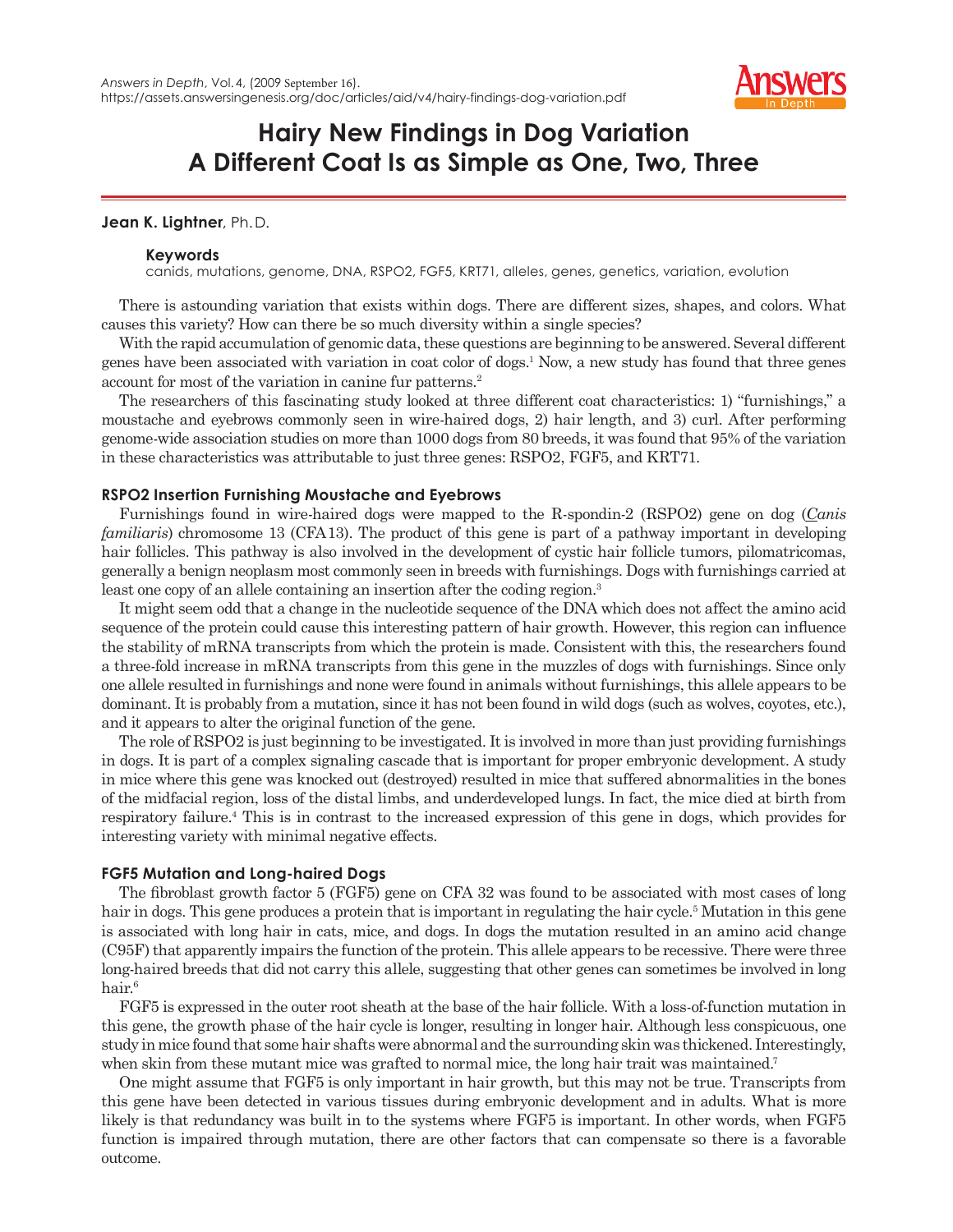

# **Hairy New Findings in Dog Variation A Different Coat Is as Simple as One, Two, Three**

## **Jean K. Lightner**, Ph. D.

## **Keywords**

canids, mutations, genome, DNA, RSPO2, FGF5, KRT71, alleles, genes, genetics, variation, evolution

There is astounding variation that exists within dogs. There are different sizes, shapes, and colors. What causes this variety? How can there be so much diversity within a single species?

With the rapid accumulation of genomic data, these questions are beginning to be answered. Several different genes have been associated with variation in coat color of dogs.1 Now, a new study has found that three genes account for most of the variation in canine fur patterns.<sup>2</sup>

The researchers of this fascinating study looked at three different coat characteristics: 1) "furnishings," a moustache and eyebrows commonly seen in wire-haired dogs, 2) hair length, and 3) curl. After performing genome-wide association studies on more than 1000 dogs from 80 breeds, it was found that 95% of the variation in these characteristics was attributable to just three genes: RSPO2, FGF5, and KRT71.

## **RSPO2 Insertion Furnishing Moustache and Eyebrows**

Furnishings found in wire-haired dogs were mapped to the R-spondin-2 (RSPO2) gene on dog (*Canis familiaris*) chromosome 13 (CFA 13). The product of this gene is part of a pathway important in developing hair follicles. This pathway is also involved in the development of cystic hair follicle tumors, pilomatricomas, generally a benign neoplasm most commonly seen in breeds with furnishings. Dogs with furnishings carried at least one copy of an allele containing an insertion after the coding region.<sup>3</sup>

It might seem odd that a change in the nucleotide sequence of the DNA which does not affect the amino acid sequence of the protein could cause this interesting pattern of hair growth. However, this region can influence the stability of mRNA transcripts from which the protein is made. Consistent with this, the researchers found a three-fold increase in mRNA transcripts from this gene in the muzzles of dogs with furnishings. Since only one allele resulted in furnishings and none were found in animals without furnishings, this allele appears to be dominant. It is probably from a mutation, since it has not been found in wild dogs (such as wolves, coyotes, etc.), and it appears to alter the original function of the gene.

The role of RSPO2 is just beginning to be investigated. It is involved in more than just providing furnishings in dogs. It is part of a complex signaling cascade that is important for proper embryonic development. A study in mice where this gene was knocked out (destroyed) resulted in mice that suffered abnormalities in the bones of the midfacial region, loss of the distal limbs, and underdeveloped lungs. In fact, the mice died at birth from respiratory failure.4 This is in contrast to the increased expression of this gene in dogs, which provides for interesting variety with minimal negative effects.

## **FGF5 Mutation and Long-haired Dogs**

The fibroblast growth factor 5 (FGF5) gene on CFA 32 was found to be associated with most cases of long hair in dogs. This gene produces a protein that is important in regulating the hair cycle.<sup>5</sup> Mutation in this gene is associated with long hair in cats, mice, and dogs. In dogs the mutation resulted in an amino acid change (C95F) that apparently impairs the function of the protein. This allele appears to be recessive. There were three long-haired breeds that did not carry this allele, suggesting that other genes can sometimes be involved in long hair.6

FGF5 is expressed in the outer root sheath at the base of the hair follicle. With a loss-of-function mutation in this gene, the growth phase of the hair cycle is longer, resulting in longer hair. Although less conspicuous, one study in mice found that some hair shafts were abnormal and the surrounding skin was thickened. Interestingly, when skin from these mutant mice was grafted to normal mice, the long hair trait was maintained.<sup>7</sup>

One might assume that FGF5 is only important in hair growth, but this may not be true. Transcripts from this gene have been detected in various tissues during embryonic development and in adults. What is more likely is that redundancy was built in to the systems where FGF5 is important. In other words, when FGF5 function is impaired through mutation, there are other factors that can compensate so there is a favorable outcome.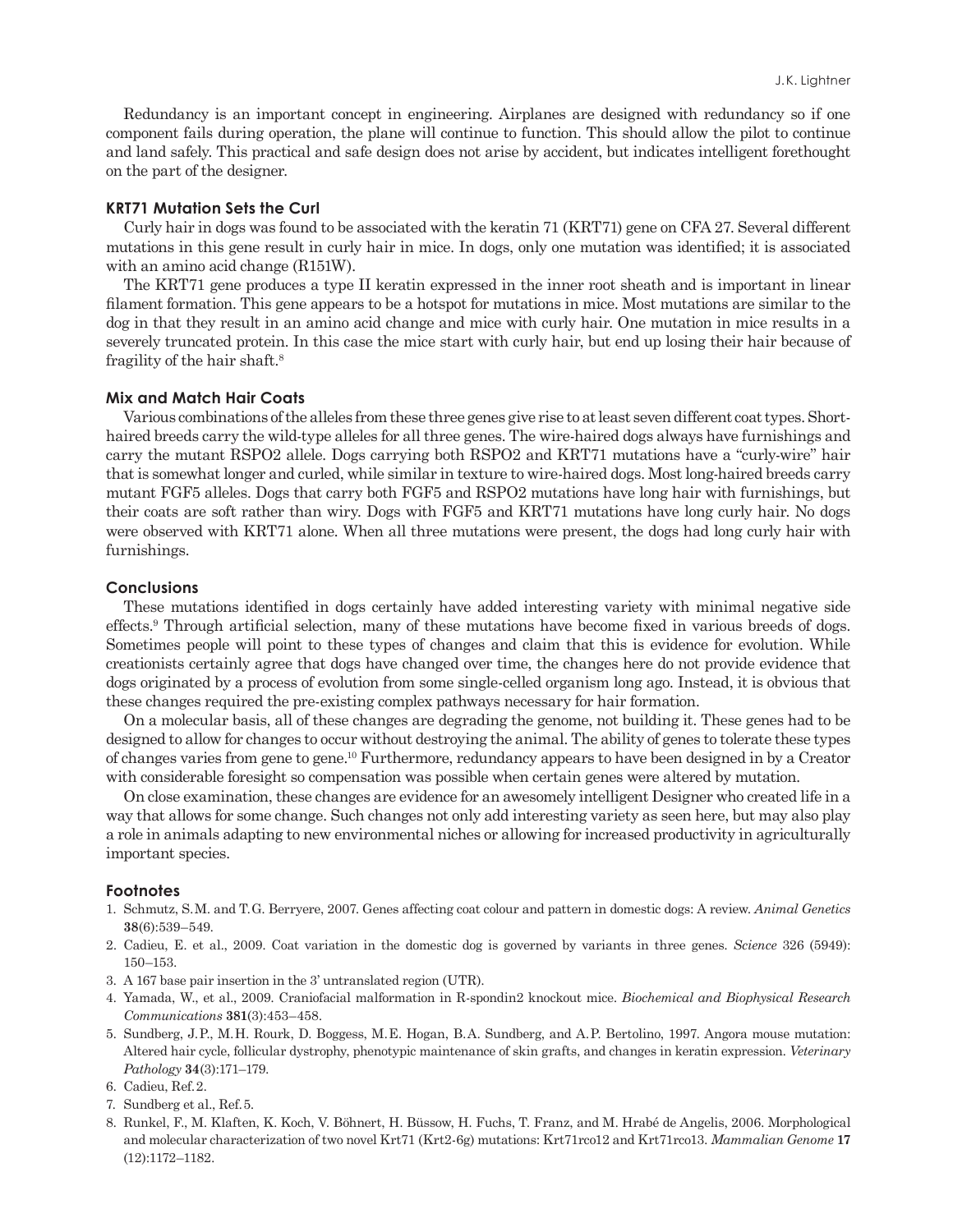Redundancy is an important concept in engineering. Airplanes are designed with redundancy so if one component fails during operation, the plane will continue to function. This should allow the pilot to continue and land safely. This practical and safe design does not arise by accident, but indicates intelligent forethought on the part of the designer.

#### **KRT71 Mutation Sets the Curl**

Curly hair in dogs was found to be associated with the keratin 71 (KRT71) gene on CFA 27. Several different mutations in this gene result in curly hair in mice. In dogs, only one mutation was identified; it is associated with an amino acid change (R151W).

The KRT71 gene produces a type II keratin expressed in the inner root sheath and is important in linear filament formation. This gene appears to be a hotspot for mutations in mice. Most mutations are similar to the dog in that they result in an amino acid change and mice with curly hair. One mutation in mice results in a severely truncated protein. In this case the mice start with curly hair, but end up losing their hair because of fragility of the hair shaft.8

#### **Mix and Match Hair Coats**

Various combinations of the alleles from these three genes give rise to at least seven different coat types. Shorthaired breeds carry the wild-type alleles for all three genes. The wire-haired dogs always have furnishings and carry the mutant RSPO2 allele. Dogs carrying both RSPO2 and KRT71 mutations have a "curly-wire" hair that is somewhat longer and curled, while similar in texture to wire-haired dogs. Most long-haired breeds carry mutant FGF5 alleles. Dogs that carry both FGF5 and RSPO2 mutations have long hair with furnishings, but their coats are soft rather than wiry. Dogs with FGF5 and KRT71 mutations have long curly hair. No dogs were observed with KRT71 alone. When all three mutations were present, the dogs had long curly hair with furnishings.

#### **Conclusions**

These mutations identified in dogs certainly have added interesting variety with minimal negative side effects.9 Through artificial selection, many of these mutations have become fixed in various breeds of dogs. Sometimes people will point to these types of changes and claim that this is evidence for evolution. While creationists certainly agree that dogs have changed over time, the changes here do not provide evidence that dogs originated by a process of evolution from some single-celled organism long ago. Instead, it is obvious that these changes required the pre-existing complex pathways necessary for hair formation.

On a molecular basis, all of these changes are degrading the genome, not building it. These genes had to be designed to allow for changes to occur without destroying the animal. The ability of genes to tolerate these types of changes varies from gene to gene.10 Furthermore, redundancy appears to have been designed in by a Creator with considerable foresight so compensation was possible when certain genes were altered by mutation.

On close examination, these changes are evidence for an awesomely intelligent Designer who created life in a way that allows for some change. Such changes not only add interesting variety as seen here, but may also play a role in animals adapting to new environmental niches or allowing for increased productivity in agriculturally important species.

### **Footnotes**

- 1. Schmutz, S. M. and T. G. Berryere, 2007. Genes affecting coat colour and pattern in domestic dogs: A review. *Animal Genetics* **38**(6):539–549.
- 2. Cadieu, E. et al., 2009. Coat variation in the domestic dog is governed by variants in three genes. *Science* 326 (5949): 150–153.
- 3. A 167 base pair insertion in the 3' untranslated region (UTR).
- 4. Yamada, W., et al., 2009. Craniofacial malformation in R-spondin2 knockout mice. *Biochemical and Biophysical Research Communications* **381**(3):453–458.
- 5. Sundberg, J. P., M. H. Rourk, D. Boggess, M. E. Hogan, B. A. Sundberg, and A. P. Bertolino, 1997. Angora mouse mutation: Altered hair cycle, follicular dystrophy, phenotypic maintenance of skin grafts, and changes in keratin expression. *Veterinary Pathology* **34**(3):171–179.
- 6. Cadieu, Ref. 2.
- 7. Sundberg et al., Ref. 5.
- 8. Runkel, F., M. Klaften, K. Koch, V. Böhnert, H. Büssow, H. Fuchs, T. Franz, and M. Hrabé de Angelis, 2006. Morphological and molecular characterization of two novel Krt71 (Krt2-6g) mutations: Krt71rco12 and Krt71rco13. *Mammalian Genome* **17** (12):1172–1182.